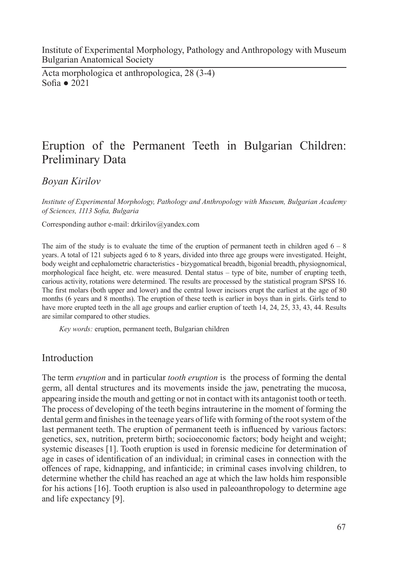Institute of Experimental Morphology, Pathology and Anthropology with Museum Bulgarian Anatomical Society

Acta morphologica et anthropologica, 28 (3-4) Sofia ● 2021

# Eruption of the Permanent Teeth in Bulgarian Children: Preliminary Data

*Boyan Kirilov*

*Institute of Experimental Morphology, Pathology and Anthropology with Museum, Bulgarian Academy of Sciences, 1113 Sofia, Bulgaria* 

Corresponding author e-mail: drkirilov@yandex.com

The aim of the study is to evaluate the time of the eruption of permanent teeth in children aged  $6 - 8$ years. A total of 121 subjects aged 6 to 8 years, divided into three age groups were investigated. Height, body weight and cephalometric characteristics - bizygomatical breadth, bigonial breadth, physiognomical, morphological face height, etc. were measured. Dental status – type of bite, number of erupting teeth, carious activity, rotations were determined. The results are processed by the statistical program SPSS 16. The first molars (both upper and lower) and the central lower incisors erupt the earliest at the age of 80 months (6 years and 8 months). The eruption of these teeth is earlier in boys than in girls. Girls tend to have more erupted teeth in the all age groups and earlier eruption of teeth 14, 24, 25, 33, 43, 44. Results are similar compared to other studies.

*Key words:* eruption, permanent teeth, Bulgarian children

## Introduction

The term *eruption* and in particular *tooth eruption* is the process of forming the dental germ, all dental structures and its movements inside the jaw, penetrating the mucosa, appearing inside the mouth and getting or not in contact with its antagonist tooth or teeth. The process of developing of the teeth begins intrauterine in the moment of forming the dental germ and finishes in the teenage years of life with forming of the root system of the last permanent teeth. The eruption of permanent teeth is influenced by various factors: genetics, sex, nutrition, preterm birth; socioeconomic factors; body height and weight; systemic diseases [1]. Tooth eruption is used in forensic medicine for determination of age in cases of identification of an individual; in criminal cases in connection with the offences of rape, kidnapping, and infanticide; in criminal cases involving children, to determine whether the child has reached an age at which the law holds him responsible for his actions [16]. Tooth eruption is also used in paleoanthropology to determine age and life expectancy [9].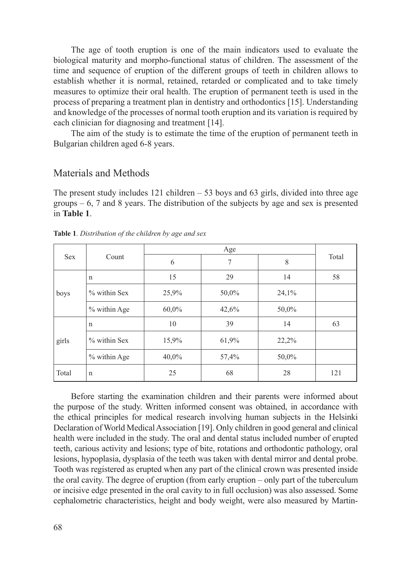The age of tooth eruption is one of the main indicators used to evaluate the biological maturity and morpho-functional status of children. The assessment of the time and sequence of eruption of the different groups of teeth in children allows to establish whether it is normal, retained, retarded or complicated and to take timely measures to optimize their oral health. The eruption of permanent teeth is used in the process of preparing a treatment plan in dentistry and orthodontics [15]. Understanding and knowledge of the processes of normal tooth eruption and its variation is required by each clinician for diagnosing and treatment [14].

The aim of the study is to estimate the time of the eruption of permanent teeth in Bulgarian children aged 6-8 years.

### Materials and Methods

The present study includes  $121$  children  $-53$  boys and  $63$  girls, divided into three age groups  $-6$ , 7 and 8 years. The distribution of the subjects by age and sex is presented in **Table 1**.

| <b>Sex</b> |                |       |       |       |       |
|------------|----------------|-------|-------|-------|-------|
|            | Count          | 6     | 7     | 8     | Total |
| boys       | $\mathbf n$    | 15    | 29    | 14    | 58    |
|            | $%$ within Sex | 25,9% | 50,0% | 24,1% |       |
|            | % within Age   | 60,0% | 42,6% | 50,0% |       |
| girls      | $\mathbf n$    | 10    | 39    | 14    | 63    |
|            | $%$ within Sex | 15,9% | 61,9% | 22,2% |       |
|            | % within Age   | 40,0% | 57,4% | 50,0% |       |
| Total      | $\mathbf n$    | 25    | 68    | 28    | 121   |

**Table 1***. Distribution of the children by age and sex* 

Before starting the examination children and their parents were informed about the purpose of the study. Written informed consent was obtained, in accordance with the ethical principles for medical research involving human subjects in the Helsinki Declaration of World Medical Association [19]. Only children in good general and clinical health were included in the study. The oral and dental status included number of erupted teeth, carious activity and lesions; type of bite, rotations and orthodontic pathology, oral lesions, hypoplasia, dysplasia of the teeth was taken with dental mirror and dental probe. Tooth was registered as erupted when any part of the clinical crown was presented inside the oral cavity. The degree of eruption (from early eruption – only part of the tuberculum or incisive edge presented in the oral cavity to in full occlusion) was also assessed. Some cephalometric characteristics, height and body weight, were also measured by Martin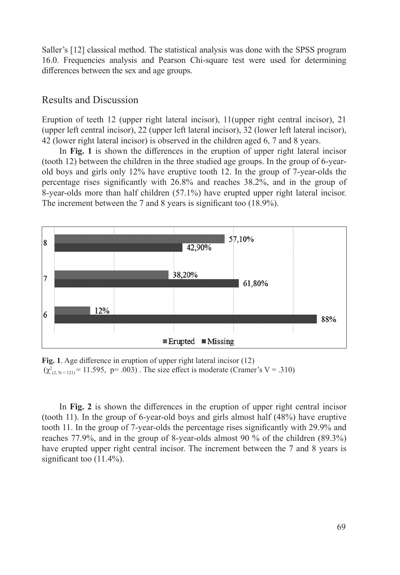Saller's [12] classical method. The statistical analysis was done with the SPSS program 16.0. Frequencies analysis and Pearson Chi-square test were used for determining differences between the sex and age groups.

#### Results and Discussion

Eruption of teeth 12 (upper right lateral incisor), 11(upper right central incisor), 21 (upper left central incisor), 22 (upper left lateral incisor), 32 (lower left lateral incisor), 42 (lower right lateral incisor) is observed in the children aged 6, 7 and 8 years.

In **Fig. 1** is shown the differences in the eruption of upper right lateral incisor (tooth 12) between the children in the three studied age groups. In the group of 6-yearold boys and girls only 12% have eruptive tooth 12. In the group of 7-year-olds the percentage rises significantly with 26.8% and reaches 38.2%, and in the group of 8-year-olds more than half children (57.1%) have erupted upper right lateral incisor. The increment between the 7 and 8 years is significant too (18.9%).



**Fig. 1**. Age difference in eruption of upper right lateral incisor (12)  $(\chi^2_{(2, N=121)} = 11.595, p=.003)$ . The size effect is moderate (Cramer's V = .310)

In **Fig. 2** is shown the differences in the eruption of upper right central incisor (tooth 11). In the group of 6-year-old boys and girls almost half (48%) have eruptive tooth 11. In the group of 7-year-olds the percentage rises significantly with 29.9% and reaches 77.9%, and in the group of 8-year-olds almost 90 % of the children (89.3%) have erupted upper right central incisor. The increment between the 7 and 8 years is significant too (11.4%).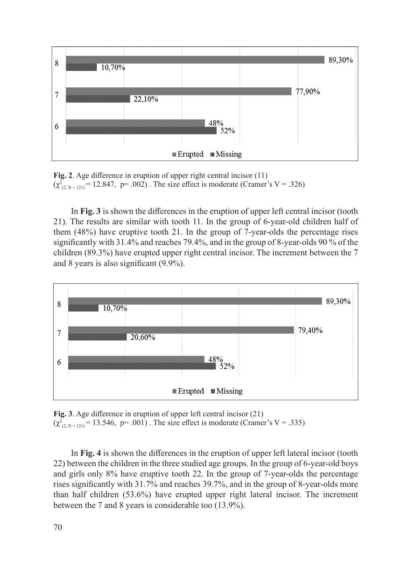

**Fig. 2**. Age difference in eruption of upper right central incisor (11)  $(\chi^2_{(2, N=121)} = 12.847, p = .002)$ . The size effect is moderate (Cramer's V = .326)

In **Fig. 3** is shown the differences in the eruption of upper left central incisor (tooth 21). The results are similar with tooth 11. In the group of 6-year-old children half of them (48%) have eruptive tooth 21. In the group of 7-year-olds the percentage rises significantly with 31.4% and reaches 79.4%, and in the group of 8-year-olds 90 % of the children (89.3%) have erupted upper right central incisor. The increment between the 7 and 8 years is also significant (9.9%).



**Fig. 3**. Age difference in eruption of upper left central incisor (21)  $(\chi^2_{(2, N=121)} = 13.546, p = .001)$ . The size effect is moderate (Cramer's V = .335)

In **Fig. 4** is shown the differences in the eruption of upper left lateral incisor (tooth 22) between the children in the three studied age groups. In the group of 6-year-old boys and girls only 8% have eruptive tooth 22. In the group of 7-year-olds the percentage rises significantly with 31.7% and reaches 39.7%, and in the group of 8-year-olds more than half children (53.6%) have erupted upper right lateral incisor. The increment between the 7 and 8 years is considerable too (13.9%).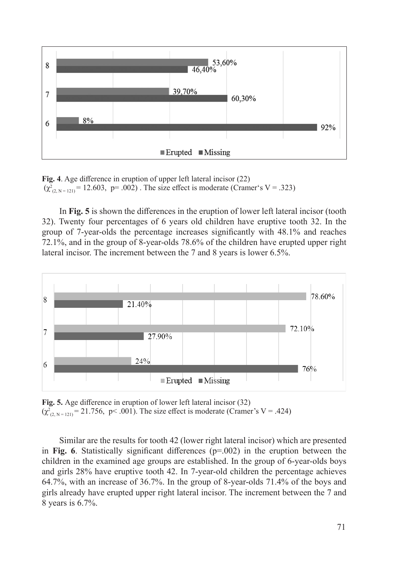

**Fig. 4**. Age difference in eruption of upper left lateral incisor (22)  $(\chi^2_{(2, N=121)} = 12.603, p=.002)$ . The size effect is moderate (Cramer's V = .323)

In **Fig. 5** is shown the differences in the eruption of lower left lateral incisor (tooth 32). Twenty four percentages of 6 years old children have eruptive tooth 32. In the group of 7-year-olds the percentage increases significantly with 48.1% and reaches 72.1%, and in the group of 8-year-olds 78.6% of the children have erupted upper right lateral incisor. The increment between the 7 and 8 years is lower 6.5%.



**Fig. 5.** Age difference in eruption of lower left lateral incisor (32)  $(\chi^2_{(2, N=121)} = 21.756, \, p<.001)$ . The size effect is moderate (Cramer's V = .424)

Similar are the results for tooth 42 (lower right lateral incisor) which are presented in **Fig. 6**. Statistically significant differences (p=.002) in the eruption between the children in the examined age groups are established. In the group of 6-year-olds boys and girls 28% have eruptive tooth 42. In 7-year-old children the percentage achieves 64.7%, with an increase of 36.7%. In the group of 8-year-olds 71.4% of the boys and girls already have erupted upper right lateral incisor. The increment between the 7 and 8 years is 6.7%.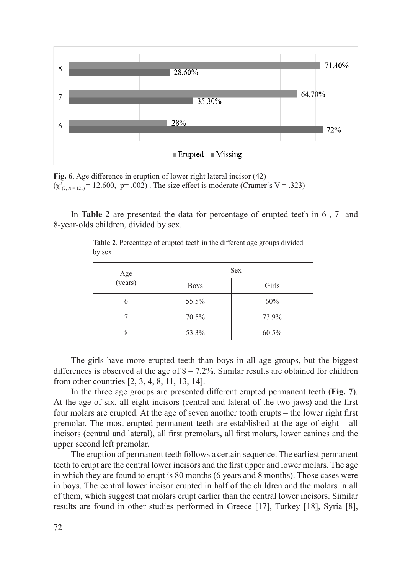

**Fig. 6**. Age difference in eruption of lower right lateral incisor (42)  $(\chi^2_{(2, N=121)} = 12.600, \, p = .002)$ . The size effect is moderate (Cramer's V = .323)

In **Table 2** are presented the data for percentage of erupted teeth in 6-, 7- and 8-year-olds children, divided by sex.

|                | <b>Sex</b>  |       |  |  |  |
|----------------|-------------|-------|--|--|--|
| Age<br>(years) | <b>Boys</b> | Girls |  |  |  |
|                | 55.5%       | 60%   |  |  |  |
|                | 70.5%       | 73.9% |  |  |  |
|                | 53.3%       | 60.5% |  |  |  |

**Table 2**. Percentage of erupted teeth in the different age groups divided by sex

The girls have more erupted teeth than boys in all age groups, but the biggest differences is observed at the age of  $8 - 7.2\%$ . Similar results are obtained for children from other countries [2, 3, 4, 8, 11, 13, 14].

In the three age groups are presented different erupted permanent teeth (**Fig. 7**). At the age of six, all eight incisors (central and lateral of the two jaws) and the first four molars are erupted. At the age of seven another tooth erupts – the lower right first premolar. The most erupted permanent teeth are established at the age of eight – all incisors (central and lateral), all first premolars, all first molars, lower canines and the upper second left premolar.

The eruption of permanent teeth follows a certain sequence. The earliest permanent teeth to erupt are the central lower incisors and the first upper and lower molars. The age in which they are found to erupt is 80 months (6 years and 8 months). Those cases were in boys. The central lower incisor erupted in half of the children and the molars in all of them, which suggest that molars erupt earlier than the central lower incisors. Similar results are found in other studies performed in Greece [17], Turkey [18], Syria [8],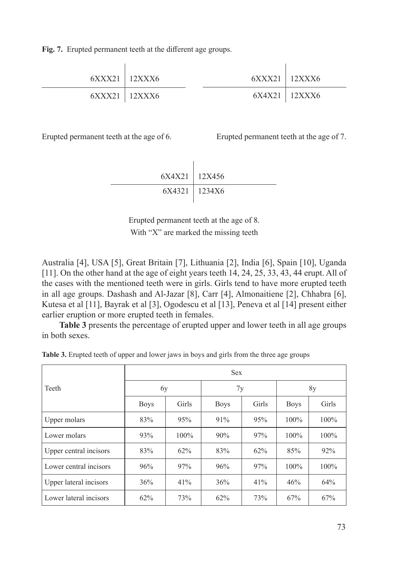**Fig. 7.** Erupted permanent teeth at the different age groups.

| $6XXX21$   12XXX6 | $6XXX21$   12XXX6 |                   |
|-------------------|-------------------|-------------------|
| $6XXX21$   12XXX6 |                   | $6X4X21$   12XXX6 |

Erupted permanent teeth at the age of 6. Erupted permanent teeth at the age of 7.

$$
6X4X21 \mid 12X456
$$
\n
$$
6X4321 \mid 1234X6
$$

Erupted permanent teeth at the age of 8. With "X" are marked the missing teeth

Australia [4], USA [5], Great Britain [7], Lithuania [2], India [6], Spain [10], Uganda [11]. On the other hand at the age of eight years teeth 14, 24, 25, 33, 43, 44 erupt. All of the cases with the mentioned teeth were in girls. Girls tend to have more erupted teeth in all age groups. Dashash and Al-Jazar [8], Carr [4], Almonaitiene [2], Chhabra [6], Kutesa et al [11], Bayrak et al [3], Ogodescu et al [13], Peneva et al [14] present either earlier eruption or more erupted teeth in females.

**Table 3** presents the percentage of erupted upper and lower teeth in all age groups in both sexes.

|  |  |  |  |  |  | Table 3. Erupted teeth of upper and lower jaws in boys and girls from the three age groups |  |  |  |  |  |  |
|--|--|--|--|--|--|--------------------------------------------------------------------------------------------|--|--|--|--|--|--|
|--|--|--|--|--|--|--------------------------------------------------------------------------------------------|--|--|--|--|--|--|

|                        | <b>Sex</b>  |         |             |       |             |         |  |  |  |
|------------------------|-------------|---------|-------------|-------|-------------|---------|--|--|--|
| Teeth                  | 6y          |         | 7y          |       | 8y          |         |  |  |  |
|                        | <b>Boys</b> | Girls   | <b>Boys</b> | Girls | <b>Boys</b> | Girls   |  |  |  |
| Upper molars           | 83%         | 95%     | 91%         | 95%   | 100%        | 100%    |  |  |  |
| Lower molars           | 93%         | $100\%$ | 90%         | 97%   | 100%        | 100%    |  |  |  |
| Upper central incisors | 83%         | 62%     | 83%         | 62%   | 85%         | 92%     |  |  |  |
| Lower central incisors | 96%         | 97%     | 96%         | 97%   | 100%        | $100\%$ |  |  |  |
| Upper lateral incisors | 36%         | 41%     | 36%         | 41%   | 46%         | 64%     |  |  |  |
| Lower lateral incisors | 62%         | 73%     | 62%         | 73%   | 67%         | 67%     |  |  |  |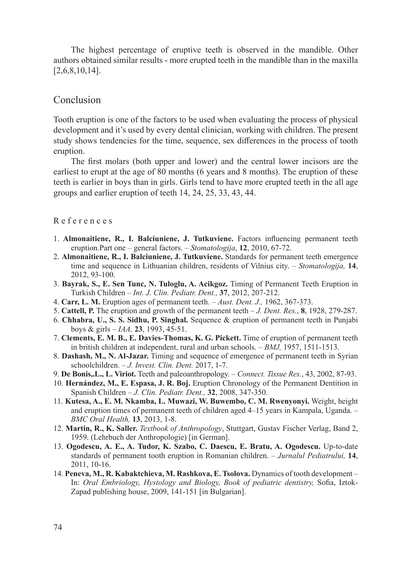The highest percentage of eruptive teeth is observed in the mandible. Other authors obtained similar results - more erupted teeth in the mandible than in the maxilla [2,6,8,10,14].

## Conclusion

Tooth eruption is one of the factors to be used when evaluating the process of physical development and it's used by every dental clinician, working with children. The present study shows tendencies for the time, sequence, sex differences in the process of tooth eruption.

The first molars (both upper and lower) and the central lower incisors are the earliest to erupt at the age of 80 months (6 years and 8 months). The eruption of these teeth is earlier in boys than in girls. Girls tend to have more erupted teeth in the all age groups and earlier eruption of teeth 14, 24, 25, 33, 43, 44.

#### R e f e r e n c e s

- 1. **Almonaitiene, R., I. Balciuniene, J. Tutkuviene.** Factors influencing permanent teeth eruption.Part one – general factors. – *Stomatologija*, **12**, 2010, 67-72.
- 2. **Almonaitiene, R., I. Balciuniene, J. Tutkuviene.** Standards for permanent teeth emergence time and sequence in Lithuanian children, residents of Vilnius city. – *Stomatologija,* **14**, 2012, 93-100.
- 3. **Bayrak, S., E. Sen Tunc, N. Tuloglu, A. Acikgoz.** Timing of Permanent Teeth Eruption in Turkish Children – *Int. J. Clin. Pediatr. Dent.,* **37**, 2012, 207-212.
- 4. **Carr, L. M.** Eruption ages of permanent teeth. *Aust. Dent. J.,* 1962, 367-373.
- 5. **Cattell, P.** The eruption and growth of the permanent teeth *J. Dent. Res.*, **8**, 1928, 279-287.
- 6. **Chhabra, U., S. S. Sidhu, P. Singhal.** Sequence & eruption of permanent teeth in Punjabi boys & girls – *IAA,* **23**, 1993, 45-51.
- 7. **Clements, E. M. B., E. Davies-Thomas, K. G. Pickett.** Time of eruption of permanent teeth in british children at independent, rural and urban schools. – *BMJ,* 1957, 1511-1513.
- 8. **Dashash, M., N. Al-Jazar.** Timing and sequence of emergence of permanent teeth in Syrian schoolchildren. – *J. Invest. Clin. Dent.* 2017, 1-7.
- 9. **De Bonis,.L., L. Viriot.** Teeth and paleoanthropology.  *Connect. Tissue Res.*, 43, 2002, 87-93.
- 10. **Hernández, M., E. Espasa, J. R. Boj.** Eruption Chronology of the Permanent Dentition in Spanish Children – *J. Clin. Pediatr. Dent.,* **32**, 2008, 347-350.
- 11. **Kutesa, A., E. M. Nkamba, L. Muwazi, W. Buwembo, C. M. Rwenyonyi.** Weight, height and eruption times of permanent teeth of children aged 4–15 years in Kampala, Uganda. – *BMC Oral Health,* **13**, 2013, 1-8.
- 12. **Martin, R., K. Saller.** *Textbook of Anthropology*, Stuttgart, Gustav Fischer Verlag, Band 2, 1959. (Lehrbuch der Anthropologie) [in German].
- 13. **Ogodescu, A. E., A. Tudor, K. Szabo, C. Daescu, E. Bratu, A. Ogodescu.** Up-to-date standards of permanent tooth eruption in Romanian children. – *Jurnalul Pediatrului,* **14**, 2011, 10-16.
- 14. **Peneva, M., R. Kabaktchieva, M. Rashkova, E. Tsolova.** Dynamics of tooth development In: *Oral Embriology, Hystology and Biology, Book of pediatric dentistry,* Sofia, Iztok-Zapad publishing house, 2009, 141-151 [in Bulgarian].